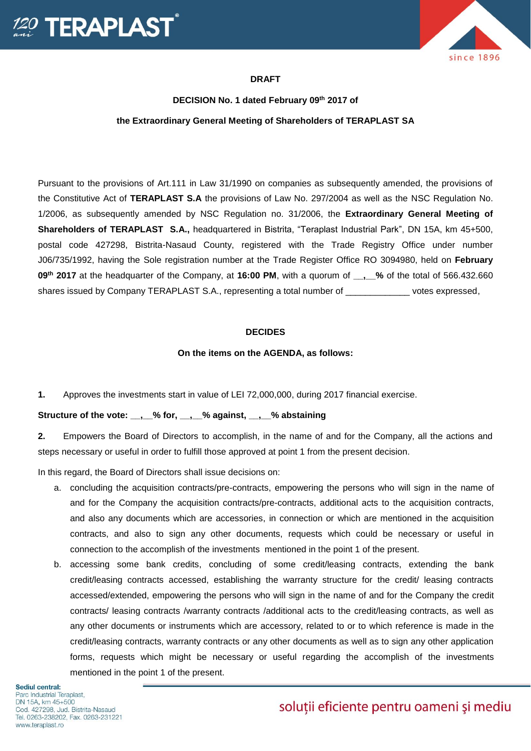



## **DRAFT**

# **DECISION No. 1 dated February 09th 2017 of the Extraordinary General Meeting of Shareholders of TERAPLAST SA**

Pursuant to the provisions of Art.111 in Law 31/1990 on companies as subsequently amended, the provisions of the Constitutive Act of **TERAPLAST S.A** the provisions of Law No. 297/2004 as well as the NSC Regulation No. 1/2006, as subsequently amended by NSC Regulation no. 31/2006, the **Extraordinary General Meeting of Shareholders of TERAPLAST S.A.,** headquartered in Bistrita, "Teraplast Industrial Park", DN 15A, km 45+500, postal code 427298, Bistrita-Nasaud County, registered with the Trade Registry Office under number J06/735/1992, having the Sole registration number at the Trade Register Office RO 3094980, held on **February 09th 2017** at the headquarter of the Company, at **16:00 PM**, with a quorum of **\_\_,\_\_%** of the total of 566.432.660 shares issued by Company TERAPLAST S.A., representing a total number of \_\_\_\_\_\_\_\_\_\_\_\_\_ votes expressed,

#### **DECIDES**

#### **On the items on the AGENDA, as follows:**

**1.** Approves the investments start in value of LEI 72,000,000, during 2017 financial exercise.

**Structure of the vote: \_\_,\_\_% for, \_\_,\_\_% against, \_\_,\_\_% abstaining**

**2.** Empowers the Board of Directors to accomplish, in the name of and for the Company, all the actions and steps necessary or useful in order to fulfill those approved at point 1 from the present decision.

In this regard, the Board of Directors shall issue decisions on:

- a. concluding the acquisition contracts/pre-contracts, empowering the persons who will sign in the name of and for the Company the acquisition contracts/pre-contracts, additional acts to the acquisition contracts, and also any documents which are accessories, in connection or which are mentioned in the acquisition contracts, and also to sign any other documents, requests which could be necessary or useful in connection to the accomplish of the investments mentioned in the point 1 of the present.
- b. accessing some bank credits, concluding of some credit/leasing contracts, extending the bank credit/leasing contracts accessed, establishing the warranty structure for the credit/ leasing contracts accessed/extended, empowering the persons who will sign in the name of and for the Company the credit contracts/ leasing contracts /warranty contracts /additional acts to the credit/leasing contracts, as well as any other documents or instruments which are accessory, related to or to which reference is made in the credit/leasing contracts, warranty contracts or any other documents as well as to sign any other application forms, requests which might be necessary or useful regarding the accomplish of the investments mentioned in the point 1 of the present.